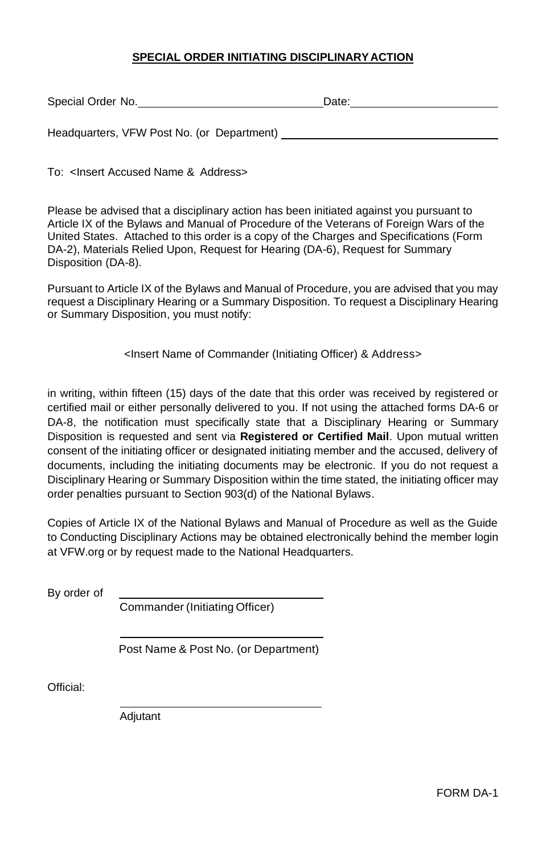#### **SPECIAL ORDER INITIATING DISCIPLINARYACTION**

| Special Order No.                          | Date: |
|--------------------------------------------|-------|
|                                            |       |
| Headquarters, VFW Post No. (or Department) |       |

To: <Insert Accused Name & Address>

Please be advised that a disciplinary action has been initiated against you pursuant to Article IX of the Bylaws and Manual of Procedure of the Veterans of Foreign Wars of the United States. Attached to this order is a copy of the Charges and Specifications (Form DA-2), Materials Relied Upon, Request for Hearing (DA-6), Request for Summary Disposition (DA-8).

Pursuant to Article IX of the Bylaws and Manual of Procedure, you are advised that you may request a Disciplinary Hearing or a Summary Disposition. To request a Disciplinary Hearing or Summary Disposition, you must notify:

<Insert Name of Commander (Initiating Officer) & Address>

in writing, within fifteen (15) days of the date that this order was received by registered or certified mail or either personally delivered to you. If not using the attached forms DA-6 or DA-8, the notification must specifically state that a Disciplinary Hearing or Summary Disposition is requested and sent via **Registered or Certified Mail**. Upon mutual written consent of the initiating officer or designated initiating member and the accused, delivery of documents, including the initiating documents may be electronic. If you do not request a Disciplinary Hearing or Summary Disposition within the time stated, the initiating officer may order penalties pursuant to Section 903(d) of the National Bylaws.

Copies of Article IX of the National Bylaws and Manual of Procedure as well as the Guide to Conducting Disciplinary Actions may be obtained electronically behind the member login at VFW.org or by request made to the National Headquarters.

By order of

Commander (Initiating Officer)

Post Name & Post No. (or Department)

Official:

Adjutant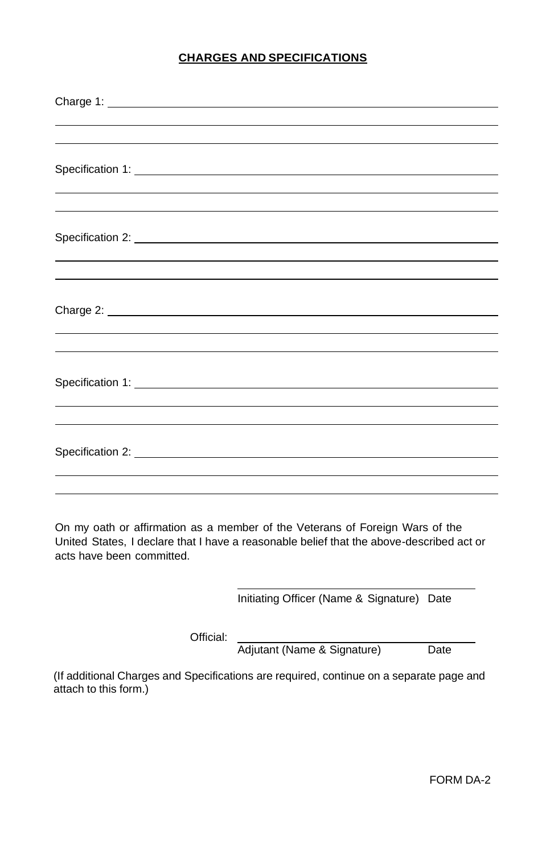# **CHARGES AND SPECIFICATIONS**

| <u> 1989 - Andrea Andrew Maria (h. 1989).</u>                                                                                                                                                                                        |
|--------------------------------------------------------------------------------------------------------------------------------------------------------------------------------------------------------------------------------------|
|                                                                                                                                                                                                                                      |
| Specification 2: New York Specification 2:                                                                                                                                                                                           |
|                                                                                                                                                                                                                                      |
|                                                                                                                                                                                                                                      |
|                                                                                                                                                                                                                                      |
| Charge 2: <b>Charge 2: Charge 2: Charge 2: Charge 2: Charge 2: Charge 2: Charge 2: Charge 2: Charge 2: Charge 2: Charge 2: Charge 2: Charge 2: Charge 2: Charge 2: Charge 2: Charge 2: Charge </b>                                   |
|                                                                                                                                                                                                                                      |
|                                                                                                                                                                                                                                      |
|                                                                                                                                                                                                                                      |
| Specification 1: <u>Conservation and Conservation and Conservation and Conservation and Conservation and Conservation and Conservation and Conservation and Conservation and Conservation and Conservation and Conservation and </u> |
|                                                                                                                                                                                                                                      |
|                                                                                                                                                                                                                                      |
|                                                                                                                                                                                                                                      |
|                                                                                                                                                                                                                                      |
|                                                                                                                                                                                                                                      |
|                                                                                                                                                                                                                                      |

On my oath or affirmation as a member of the Veterans of Foreign Wars of the United States, I declare that I have a reasonable belief that the above-described act or acts have been committed.

Initiating Officer (Name & Signature) Date

Official:

Adjutant (Name & Signature) Date

(If additional Charges and Specifications are required, continue on a separate page and attach to this form.)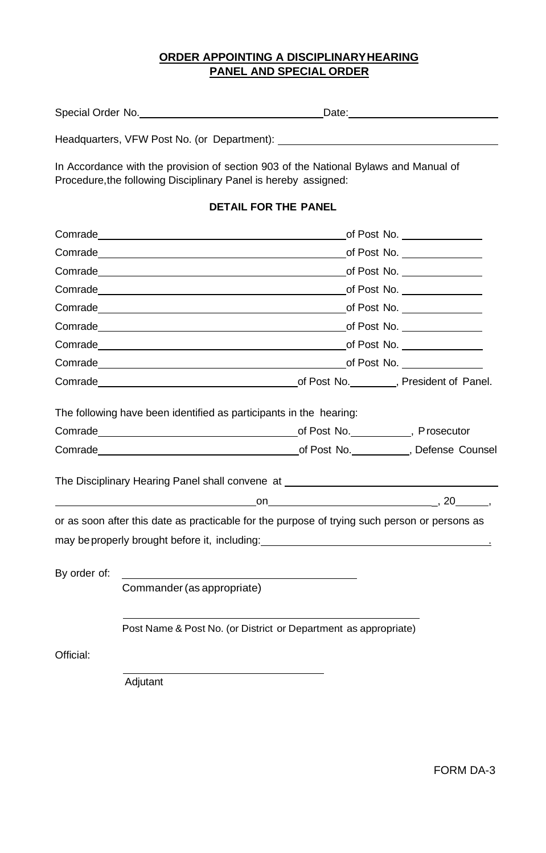## **ORDER APPOINTING A DISCIPLINARYHEARING PANEL AND SPECIAL ORDER**

| Special Order No.                           | Date: |
|---------------------------------------------|-------|
| Headquarters, VFW Post No. (or Department): |       |

In Accordance with the provision of section 903 of the National Bylaws and Manual of Procedure, the following Disciplinary Panel is hereby assigned:

# **DETAIL FOR THE PANEL**

|              |                                                                                                                                                                                                                                                                                      | of Post No. ________________ |
|--------------|--------------------------------------------------------------------------------------------------------------------------------------------------------------------------------------------------------------------------------------------------------------------------------------|------------------------------|
|              |                                                                                                                                                                                                                                                                                      | of Post No. _______________  |
|              | <b>Comrade</b> compared to the compared of Post No.                                                                                                                                                                                                                                  |                              |
|              | Comrade contracts of Post No.                                                                                                                                                                                                                                                        |                              |
|              | Comrade community of Post No.                                                                                                                                                                                                                                                        |                              |
|              | Comrade <u>compared and the compared of Post No.</u>                                                                                                                                                                                                                                 |                              |
|              | <b>Comrade</b> compared to the compared of the compared of Post No.                                                                                                                                                                                                                  |                              |
|              |                                                                                                                                                                                                                                                                                      |                              |
|              | Comrade Comrade Comrade Comrade Communication Communication of Post No. (President of Panel.                                                                                                                                                                                         |                              |
|              | The following have been identified as participants in the hearing:                                                                                                                                                                                                                   |                              |
|              | Comrade Comrade Comrade Comrade Comrade Communication of Post No. The Prosecutor                                                                                                                                                                                                     |                              |
|              | Comrade Counsel Comrade Counsel Communication of Post No. 6. Defense Counsel                                                                                                                                                                                                         |                              |
|              | The Disciplinary Hearing Panel shall convene at ________________________________                                                                                                                                                                                                     |                              |
|              | $\sim$ 00 $\sim$ 20 $\sim$ 30 $\sim$ 30 $\sim$ 30 $\sim$ 30 $\sim$ 30 $\sim$ 30 $\sim$ 30 $\sim$ 31 $\sim$ 31 $\sim$ 32 $\sim$ 31 $\sim$ 32 $\sim$ 31 $\sim$ 32 $\sim$ 32 $\sim$ 32 $\sim$ 32 $\sim$ 32 $\sim$ 32 $\sim$ 32 $\sim$ 32 $\sim$ 32 $\sim$ 32 $\sim$ 32 $\sim$ 32 $\sim$ |                              |
|              | or as soon after this date as practicable for the purpose of trying such person or persons as                                                                                                                                                                                        |                              |
|              |                                                                                                                                                                                                                                                                                      |                              |
|              |                                                                                                                                                                                                                                                                                      |                              |
| By order of: |                                                                                                                                                                                                                                                                                      |                              |
|              | Commander (as appropriate)                                                                                                                                                                                                                                                           |                              |
|              |                                                                                                                                                                                                                                                                                      |                              |
|              | Post Name & Post No. (or District or Department as appropriate)                                                                                                                                                                                                                      |                              |
| Official:    |                                                                                                                                                                                                                                                                                      |                              |
|              | Adjutant                                                                                                                                                                                                                                                                             |                              |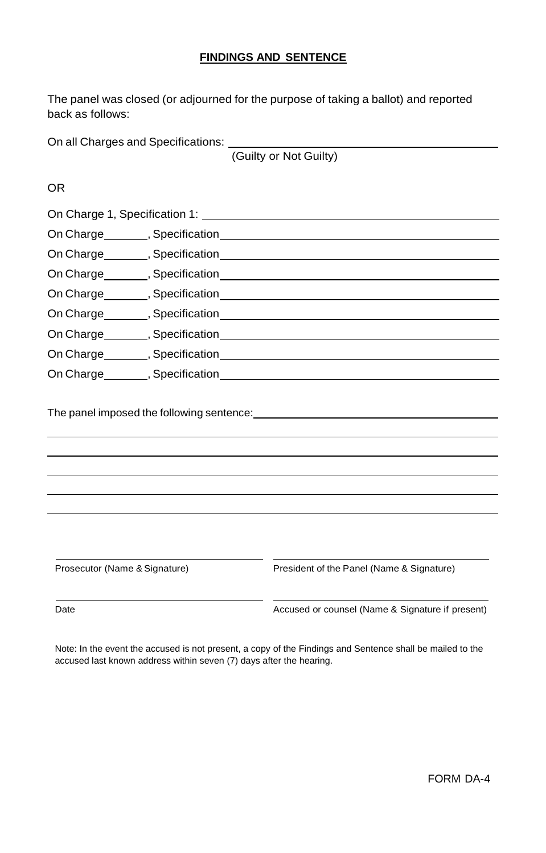#### **FINDINGS AND SENTENCE**

The panel was closed (or adjourned for the purpose of taking a ballot) and reported back as follows:

On all Charges and Specifications:

(Guilty or Not Guilty)

OR

| On Charge ________, Specification __________                                                                                                                                     |  |
|----------------------------------------------------------------------------------------------------------------------------------------------------------------------------------|--|
| On Charge ________, Specification _______                                                                                                                                        |  |
|                                                                                                                                                                                  |  |
|                                                                                                                                                                                  |  |
|                                                                                                                                                                                  |  |
| On Charge <b>Manufact</b> <sub>1</sub> , Specification <b>Specification</b> 5                                                                                                    |  |
| On Charge <b>Marge Marge Marge Marge Marge Marge Marge Marge Marge Marge Marge Marge Marge Marge Marge Marge Marge Marge Marge Marge Marge Marge Marge Marge Marge Marge Mar</b> |  |
| On Charge<br><u>(5)</u> Specification                                                                                                                                            |  |

The panel imposed the following sentence: <u>example and a sense of the panel</u>

Prosecutor (Name & Signature) President of the Panel (Name & Signature)

Date **Accused or counsel (Name & Signature if present)** Accused or counsel (Name & Signature if present)

Note: In the event the accused is not present, a copy of the Findings and Sentence shall be mailed to the accused last known address within seven (7) days after the hearing.

FORM DA-4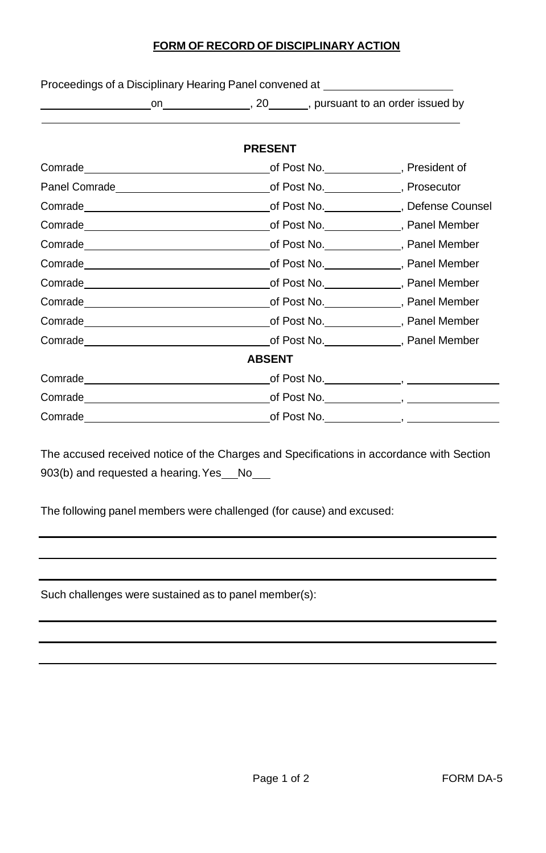## **FORM OF RECORD OF DISCIPLINARY ACTION**

Proceedings of a Disciplinary Hearing Panel convened at \_\_\_\_\_\_\_\_\_\_\_\_\_\_\_\_\_\_\_\_\_\_\_\_

|               | on , 20, pursuant to an order issued by                                                                                                                                                                                              |  |  |  |  |
|---------------|--------------------------------------------------------------------------------------------------------------------------------------------------------------------------------------------------------------------------------------|--|--|--|--|
|               | <b>PRESENT</b>                                                                                                                                                                                                                       |  |  |  |  |
|               | Comrade <b>Comrade</b> Post No. President of Post No. President of                                                                                                                                                                   |  |  |  |  |
|               |                                                                                                                                                                                                                                      |  |  |  |  |
|               | Comrade <b>Comrade</b> Comrade Counsel Comrade Counsel Comrade Counsel Comrade Counsel Comrade Counsel Comrade Counsel Comrade Counsel Comrade Counsel Comrade Counsel Comrade Counsel Comrade Counsel Comrade Counsel Comrade Coun  |  |  |  |  |
|               |                                                                                                                                                                                                                                      |  |  |  |  |
|               | Comrade <b>commade</b> Comrade Comrade Comrade Comrade Commade Commade Commade Commade Commade Commade Commade Commade Commade Commade Commade Commade Commade Commade Commade Commade Commade Commade Commade Commade Commade Comm  |  |  |  |  |
|               | Comrade Comrade Comrade Comrade Comrade Comrade Communication Communication of Post No.                                                                                                                                              |  |  |  |  |
|               | Comrade <b>commade</b> Comrade Comrade Comrade Comrade Commade Commade Commade Commade Commade Commade Commade Commade Commade Commade Commade Commade Commade Commade Commade Commade Commade Commade Commade Commade Commade Comm  |  |  |  |  |
|               | Comrade <b>Commande Community</b> Commande Community Community Community Community Community Community Community Community Community Community Community Community Community Community Community Community Community Community Comm  |  |  |  |  |
|               |                                                                                                                                                                                                                                      |  |  |  |  |
|               | Comrade Comrade Comrade Comrade Comrade Comrade Comrade Communication Communication Communication Communication                                                                                                                      |  |  |  |  |
| <b>ABSENT</b> |                                                                                                                                                                                                                                      |  |  |  |  |
|               |                                                                                                                                                                                                                                      |  |  |  |  |
|               | Comrade <u> Comrade Comrade Comrade Comrade Comrade Comrade Comrade Comrade Comrade Comrade Comrade Comrade Comrade Comrade Comrade Comrade Comrade Comrade Comrade Comrade Comrade Comrade Comrade Comrade Comrade Comrade Comr</u> |  |  |  |  |
|               | Comrade <u> Comrade Comrade Comrade Comrade Comrade Comrade Comrade Comrade Comrade Comrade Comrade Comrade Comrade Comrade Comrade Comrade Comrade Comrade Comrade Comrade Comrade Comrade Comrade Comrade Comrade Comrade Comr</u> |  |  |  |  |

The accused received notice of the Charges and Specifications in accordance with Section 903(b) and requested a hearing. Yes No

The following panel members were challenged (for cause) and excused:

Such challenges were sustained as to panel member(s):

 $\overline{a}$ 

 $\overline{\phantom{a}}$  $\overline{\phantom{a}}$ 

 $\overline{a}$  $\overline{a}$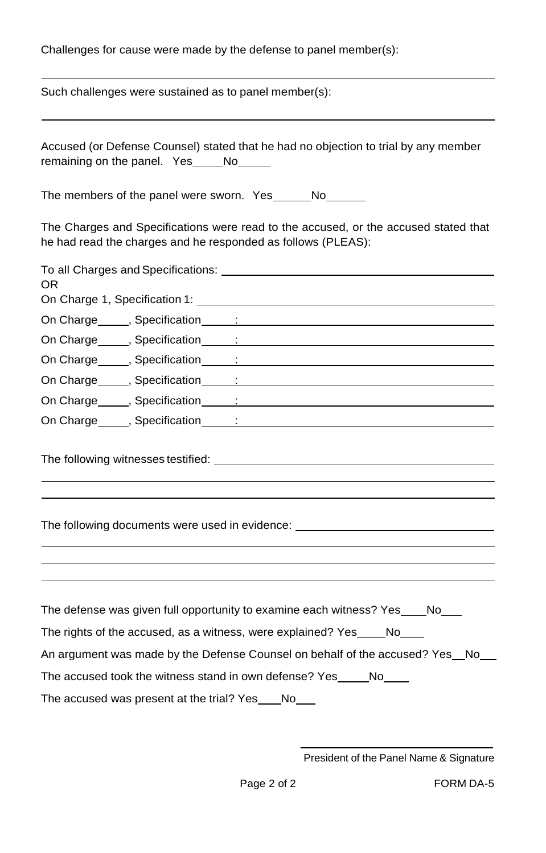Challenges for cause were made by the defense to panel member(s): Such challenges were sustained as to panel member(s): Accused (or Defense Counsel) stated that he had no objection to trial by any member remaining on the panel. Yes No The members of the panel were sworn. Yes No The Charges and Specifications were read to the accused, or the accused stated that he had read the charges and he responded as follows (PLEAS): To all Charges and Specifications: OR On Charge 1, Specification 1: On Charge , Specification : On Charge (a) Specification (b) is a set of the set of the set of the set of the set of the set of the set of the set of the set of the set of the set of the set of the set of the set of the set of the set of the set of th On Charge , Specification : On Charge , Specification : On Charge , Specification : On Charge , Specification : The following witnesses testified: The following documents were used in evidence: The defense was given full opportunity to examine each witness? Yes No The rights of the accused, as a witness, were explained? Yes \_\_\_\_\_ No\_\_\_ An argument was made by the Defense Counsel on behalf of the accused? Yes\_No\_\_ The accused took the witness stand in own defense? Yes No The accused was present at the trial? Yes No

 $\overline{\phantom{a}}$ 

President of the Panel Name & Signature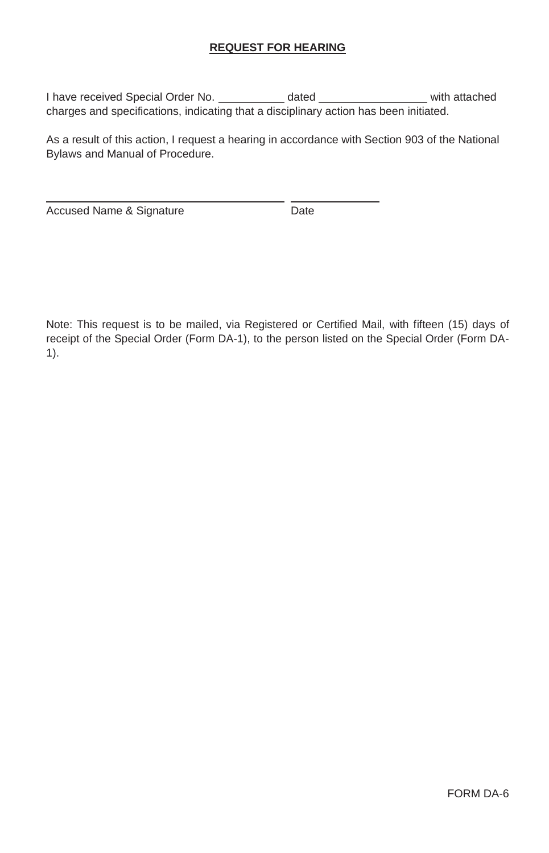## **REQUEST FOR HEARING**

I have received Special Order No. \_\_\_\_\_\_\_\_\_\_\_ dated \_\_\_\_\_\_\_\_\_\_\_\_\_\_\_\_\_ with attached charges and specifications, indicating that a disciplinary action has been initiated.

As a result of this action, I request a hearing in accordance with Section 903 of the National Bylaws and Manual of Procedure.

Accused Name & Signature **Date** 

Note: This request is to be mailed, via Registered or Certified Mail, with fifteen (15) days of receipt of the Special Order (Form DA-1), to the person listed on the Special Order (Form DA-1).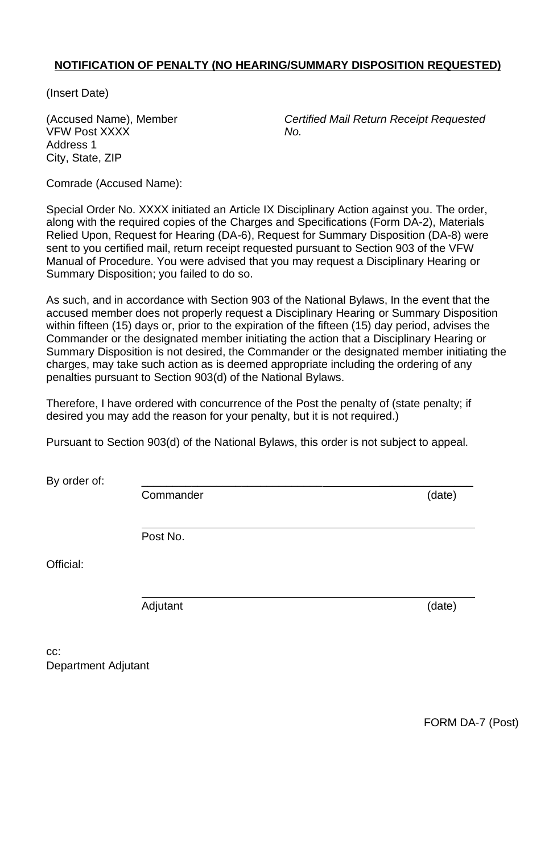## **NOTIFICATION OF PENALTY (NO HEARING/SUMMARY DISPOSITION REQUESTED)**

(Insert Date)

VFW Post XXXX *No.* Address 1 City, State, ZIP

(Accused Name), Member *Certified Mail Return Receipt Requested*

Comrade (Accused Name):

Special Order No. XXXX initiated an Article IX Disciplinary Action against you. The order, along with the required copies of the Charges and Specifications (Form DA-2), Materials Relied Upon, Request for Hearing (DA-6), Request for Summary Disposition (DA-8) were sent to you certified mail, return receipt requested pursuant to Section 903 of the VFW Manual of Procedure. You were advised that you may request a Disciplinary Hearing or Summary Disposition; you failed to do so.

As such, and in accordance with Section 903 of the National Bylaws, In the event that the accused member does not properly request a Disciplinary Hearing or Summary Disposition within fifteen (15) days or, prior to the expiration of the fifteen (15) day period, advises the Commander or the designated member initiating the action that a Disciplinary Hearing or Summary Disposition is not desired, the Commander or the designated member initiating the charges, may take such action as is deemed appropriate including the ordering of any penalties pursuant to Section 903(d) of the National Bylaws.

Therefore, I have ordered with concurrence of the Post the penalty of (state penalty; if desired you may add the reason for your penalty, but it is not required.)

Pursuant to Section 903(d) of the National Bylaws, this order is not subject to appeal.

By order of:

Commander (date)

Post No.

Official:

Adjutant (date)

cc: Department Adjutant

FORM DA-7 (Post)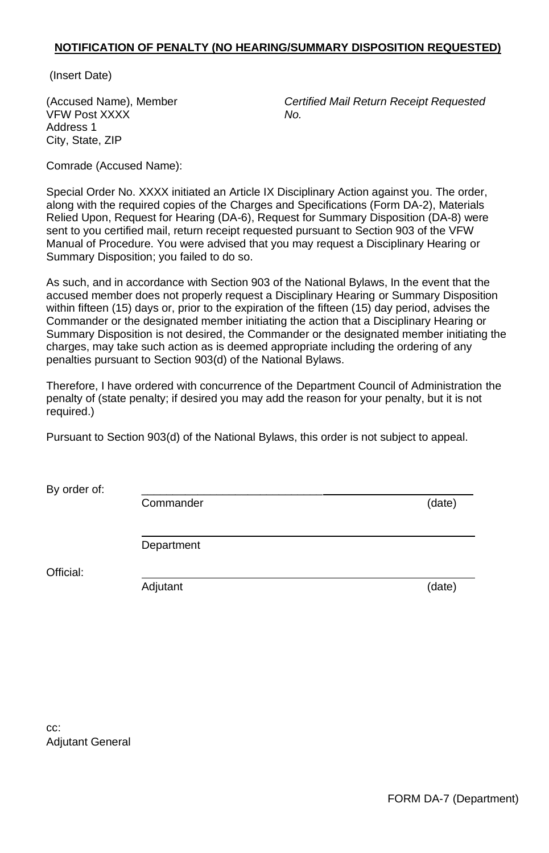#### **NOTIFICATION OF PENALTY (NO HEARING/SUMMARY DISPOSITION REQUESTED)**

(Insert Date)

VFW Post XXXX *No.* Address 1 City, State, ZIP

(Accused Name), Member *Certified Mail Return Receipt Requested*

Comrade (Accused Name):

Special Order No. XXXX initiated an Article IX Disciplinary Action against you. The order, along with the required copies of the Charges and Specifications (Form DA-2), Materials Relied Upon, Request for Hearing (DA-6), Request for Summary Disposition (DA-8) were sent to you certified mail, return receipt requested pursuant to Section 903 of the VFW Manual of Procedure. You were advised that you may request a Disciplinary Hearing or Summary Disposition; you failed to do so.

As such, and in accordance with Section 903 of the National Bylaws, In the event that the accused member does not properly request a Disciplinary Hearing or Summary Disposition within fifteen (15) days or, prior to the expiration of the fifteen (15) day period, advises the Commander or the designated member initiating the action that a Disciplinary Hearing or Summary Disposition is not desired, the Commander or the designated member initiating the charges, may take such action as is deemed appropriate including the ordering of any penalties pursuant to Section 903(d) of the National Bylaws.

Therefore, I have ordered with concurrence of the Department Council of Administration the penalty of (state penalty; if desired you may add the reason for your penalty, but it is not required.)

Pursuant to Section 903(d) of the National Bylaws, this order is not subject to appeal.

By order of:

Commander (date)

Department

Official:

Adjutant (date)

cc: Adjutant General